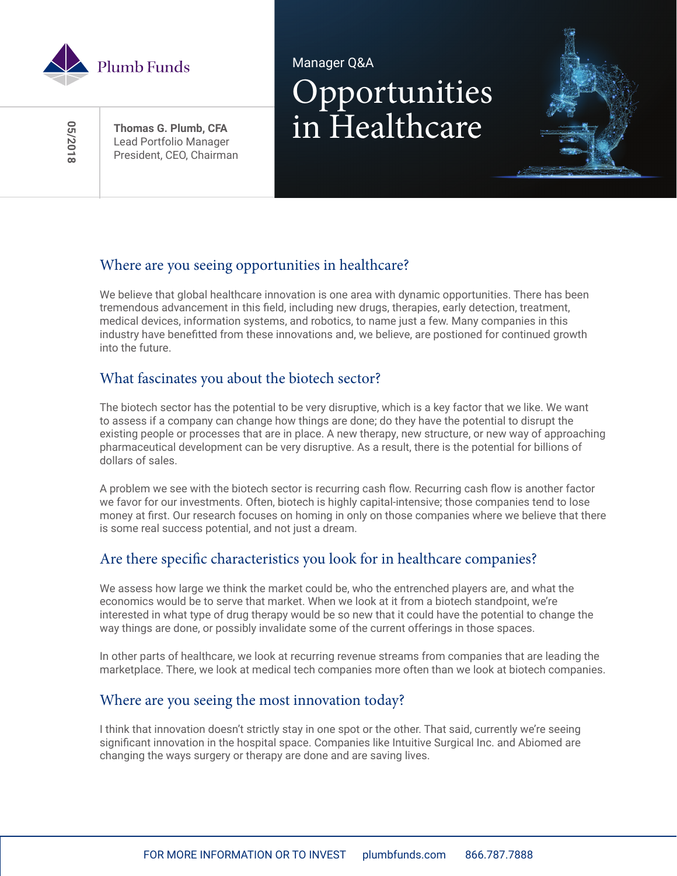

 **05/2018**8102/50

President, CEO, Chairman

# Manager Q&A Opportunities Thomas G. Plumb, CFA **in** Healthcare

## Where are you seeing opportunities in healthcare?

We believe that global healthcare innovation is one area with dynamic opportunities. There has been tremendous advancement in this field, including new drugs, therapies, early detection, treatment, medical devices, information systems, and robotics, to name just a few. Many companies in this industry have benefitted from these innovations and, we believe, are postioned for continued growth into the future.

### What fascinates you about the biotech sector?

The biotech sector has the potential to be very disruptive, which is a key factor that we like. We want to assess if a company can change how things are done; do they have the potential to disrupt the existing people or processes that are in place. A new therapy, new structure, or new way of approaching pharmaceutical development can be very disruptive. As a result, there is the potential for billions of dollars of sales.

A problem we see with the biotech sector is recurring cash flow. Recurring cash flow is another factor we favor for our investments. Often, biotech is highly capital-intensive; those companies tend to lose money at first. Our research focuses on homing in only on those companies where we believe that there is some real success potential, and not just a dream.

### Are there specific characteristics you look for in healthcare companies?

We assess how large we think the market could be, who the entrenched players are, and what the economics would be to serve that market. When we look at it from a biotech standpoint, we're interested in what type of drug therapy would be so new that it could have the potential to change the way things are done, or possibly invalidate some of the current offerings in those spaces.

In other parts of healthcare, we look at recurring revenue streams from companies that are leading the marketplace. There, we look at medical tech companies more often than we look at biotech companies.

#### Where are you seeing the most innovation today?

I think that innovation doesn't strictly stay in one spot or the other. That said, currently we're seeing significant innovation in the hospital space. Companies like Intuitive Surgical Inc. and Abiomed are changing the ways surgery or therapy are done and are saving lives.